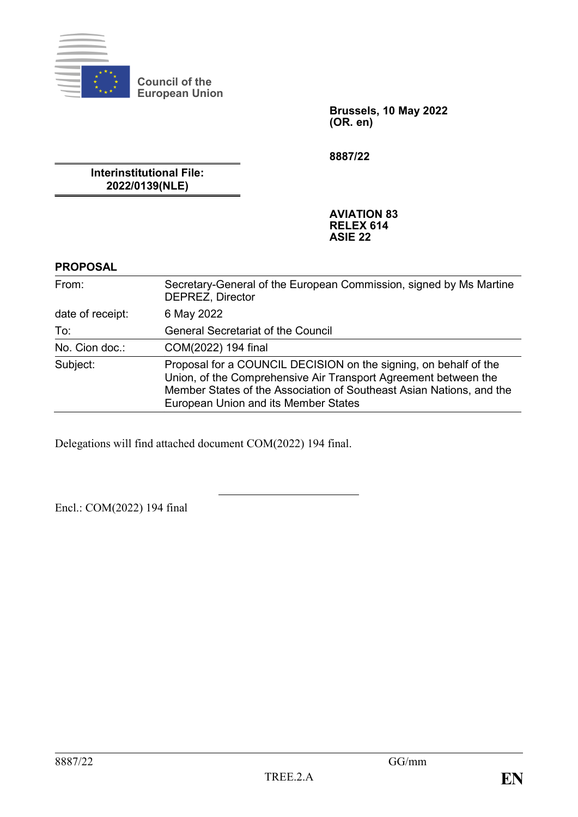

**Council of the European Union**

> **Brussels, 10 May 2022 (OR. en)**

**8887/22**

**Interinstitutional File: 2022/0139(NLE)**

> **AVIATION 83 RELEX 614 ASIE 22**

#### **PROPOSAL**

| From:            | Secretary-General of the European Commission, signed by Ms Martine<br><b>DEPREZ, Director</b>                                                                                                                                                       |
|------------------|-----------------------------------------------------------------------------------------------------------------------------------------------------------------------------------------------------------------------------------------------------|
| date of receipt: | 6 May 2022                                                                                                                                                                                                                                          |
| To:              | <b>General Secretariat of the Council</b>                                                                                                                                                                                                           |
| No. Cion doc.:   | COM(2022) 194 final                                                                                                                                                                                                                                 |
| Subject:         | Proposal for a COUNCIL DECISION on the signing, on behalf of the<br>Union, of the Comprehensive Air Transport Agreement between the<br>Member States of the Association of Southeast Asian Nations, and the<br>European Union and its Member States |

Delegations will find attached document COM(2022) 194 final.

Encl.: COM(2022) 194 final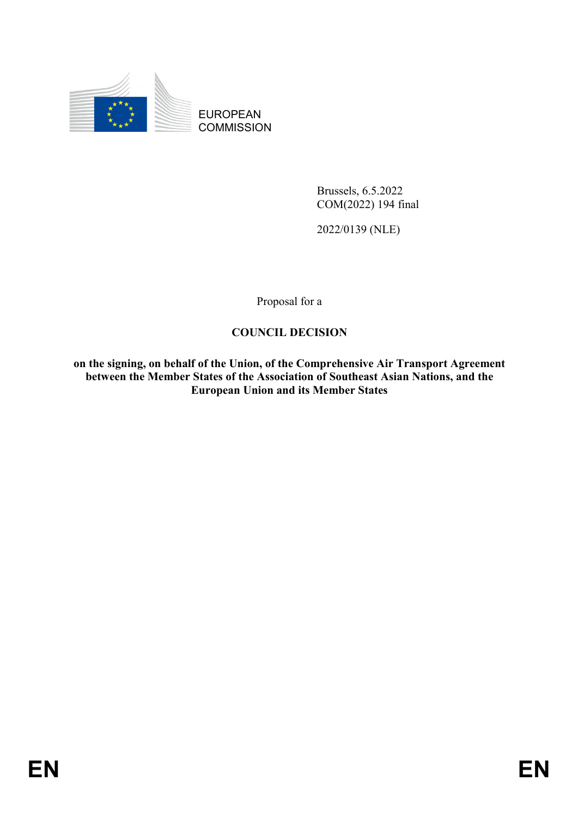

EUROPEAN **COMMISSION** 

> Brussels, 6.5.2022 COM(2022) 194 final

2022/0139 (NLE)

Proposal for a

## **COUNCIL DECISION**

**on the signing, on behalf of the Union, of the Comprehensive Air Transport Agreement between the Member States of the Association of Southeast Asian Nations, and the European Union and its Member States**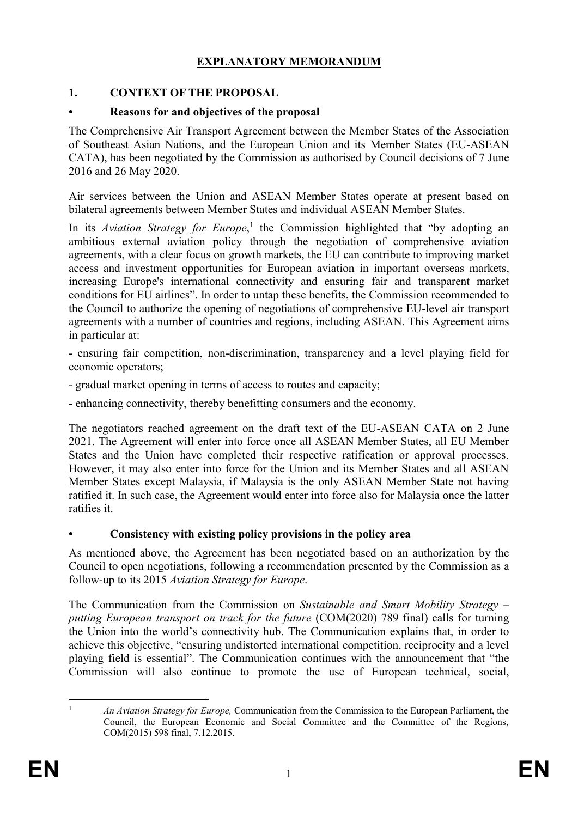# **EXPLANATORY MEMORANDUM**

### **1. CONTEXT OF THE PROPOSAL**

### **• Reasons for and objectives of the proposal**

The Comprehensive Air Transport Agreement between the Member States of the Association of Southeast Asian Nations, and the European Union and its Member States (EU-ASEAN CATA), has been negotiated by the Commission as authorised by Council decisions of 7 June 2016 and 26 May 2020.

Air services between the Union and ASEAN Member States operate at present based on bilateral agreements between Member States and individual ASEAN Member States.

In its *Aviation Strategy for Europe*, 1 the Commission highlighted that "by adopting an ambitious external aviation policy through the negotiation of comprehensive aviation agreements, with a clear focus on growth markets, the EU can contribute to improving market access and investment opportunities for European aviation in important overseas markets, increasing Europe's international connectivity and ensuring fair and transparent market conditions for EU airlines". In order to untap these benefits, the Commission recommended to the Council to authorize the opening of negotiations of comprehensive EU-level air transport agreements with a number of countries and regions, including ASEAN. This Agreement aims in particular at:

- ensuring fair competition, non-discrimination, transparency and a level playing field for economic operators;

- gradual market opening in terms of access to routes and capacity;

- enhancing connectivity, thereby benefitting consumers and the economy.

The negotiators reached agreement on the draft text of the EU-ASEAN CATA on 2 June 2021. The Agreement will enter into force once all ASEAN Member States, all EU Member States and the Union have completed their respective ratification or approval processes. However, it may also enter into force for the Union and its Member States and all ASEAN Member States except Malaysia, if Malaysia is the only ASEAN Member State not having ratified it. In such case, the Agreement would enter into force also for Malaysia once the latter ratifies it.

### **• Consistency with existing policy provisions in the policy area**

As mentioned above, the Agreement has been negotiated based on an authorization by the Council to open negotiations, following a recommendation presented by the Commission as a follow-up to its 2015 *Aviation Strategy for Europe*.

The Communication from the Commission on *Sustainable and Smart Mobility Strategy – putting European transport on track for the future* (COM(2020) 789 final) calls for turning the Union into the world's connectivity hub. The Communication explains that, in order to achieve this objective, "ensuring undistorted international competition, reciprocity and a level playing field is essential". The Communication continues with the announcement that "the Commission will also continue to promote the use of European technical, social,

 $\mathbf{1}$ 

<sup>1</sup> *An Aviation Strategy for Europe,* Communication from the Commission to the European Parliament, the Council, the European Economic and Social Committee and the Committee of the Regions, COM(2015) 598 final, 7.12.2015.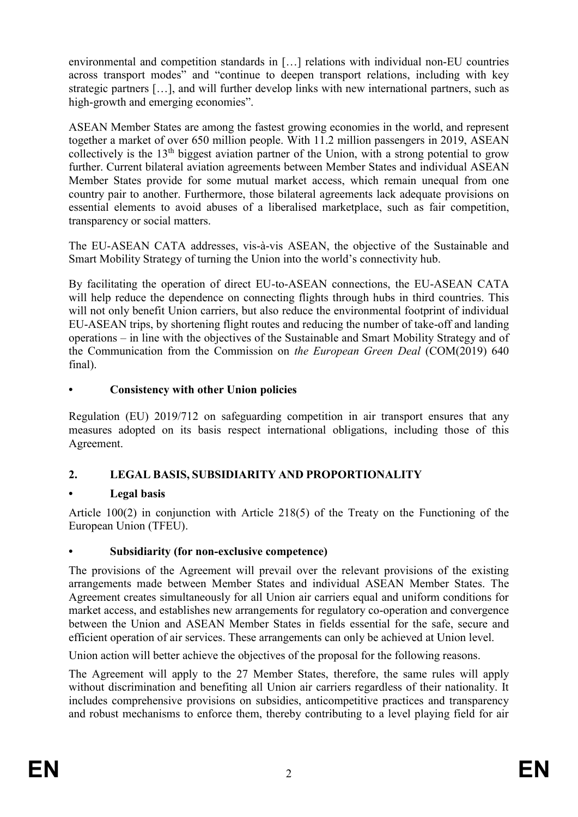environmental and competition standards in […] relations with individual non-EU countries across transport modes" and "continue to deepen transport relations, including with key strategic partners […], and will further develop links with new international partners, such as high-growth and emerging economies".

ASEAN Member States are among the fastest growing economies in the world, and represent together a market of over 650 million people. With 11.2 million passengers in 2019, ASEAN collectively is the 13th biggest aviation partner of the Union, with a strong potential to grow further. Current bilateral aviation agreements between Member States and individual ASEAN Member States provide for some mutual market access, which remain unequal from one country pair to another. Furthermore, those bilateral agreements lack adequate provisions on essential elements to avoid abuses of a liberalised marketplace, such as fair competition, transparency or social matters.

The EU-ASEAN CATA addresses, vis-à-vis ASEAN, the objective of the Sustainable and Smart Mobility Strategy of turning the Union into the world's connectivity hub.

By facilitating the operation of direct EU-to-ASEAN connections, the EU-ASEAN CATA will help reduce the dependence on connecting flights through hubs in third countries. This will not only benefit Union carriers, but also reduce the environmental footprint of individual EU-ASEAN trips, by shortening flight routes and reducing the number of take-off and landing operations – in line with the objectives of the Sustainable and Smart Mobility Strategy and of the Communication from the Commission on *the European Green Deal* (COM(2019) 640 final).

## **• Consistency with other Union policies**

Regulation (EU) 2019/712 on safeguarding competition in air transport ensures that any measures adopted on its basis respect international obligations, including those of this Agreement.

# **2. LEGAL BASIS, SUBSIDIARITY AND PROPORTIONALITY**

# **• Legal basis**

Article 100(2) in conjunction with Article 218(5) of the Treaty on the Functioning of the European Union (TFEU).

### **• Subsidiarity (for non-exclusive competence)**

The provisions of the Agreement will prevail over the relevant provisions of the existing arrangements made between Member States and individual ASEAN Member States. The Agreement creates simultaneously for all Union air carriers equal and uniform conditions for market access, and establishes new arrangements for regulatory co-operation and convergence between the Union and ASEAN Member States in fields essential for the safe, secure and efficient operation of air services. These arrangements can only be achieved at Union level.

Union action will better achieve the objectives of the proposal for the following reasons.

The Agreement will apply to the 27 Member States, therefore, the same rules will apply without discrimination and benefiting all Union air carriers regardless of their nationality. It includes comprehensive provisions on subsidies, anticompetitive practices and transparency and robust mechanisms to enforce them, thereby contributing to a level playing field for air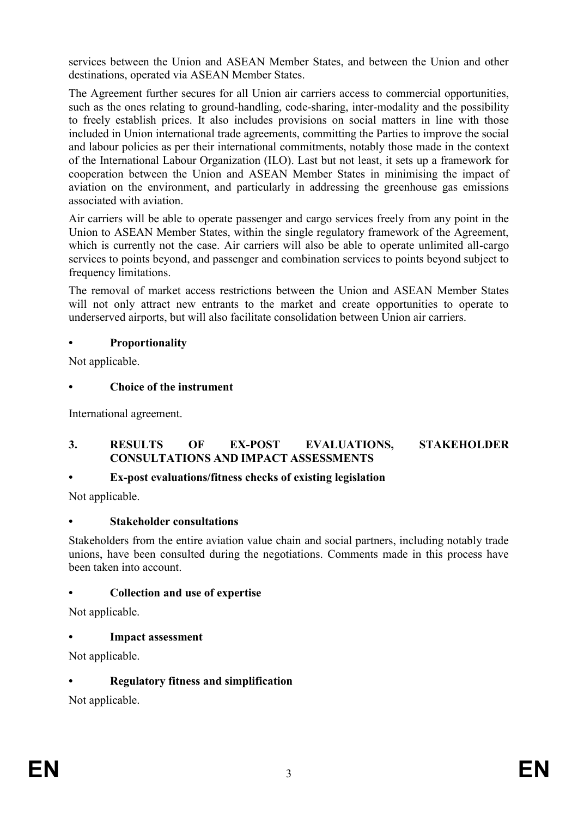services between the Union and ASEAN Member States, and between the Union and other destinations, operated via ASEAN Member States.

The Agreement further secures for all Union air carriers access to commercial opportunities, such as the ones relating to ground-handling, code-sharing, inter-modality and the possibility to freely establish prices. It also includes provisions on social matters in line with those included in Union international trade agreements, committing the Parties to improve the social and labour policies as per their international commitments, notably those made in the context of the International Labour Organization (ILO). Last but not least, it sets up a framework for cooperation between the Union and ASEAN Member States in minimising the impact of aviation on the environment, and particularly in addressing the greenhouse gas emissions associated with aviation.

Air carriers will be able to operate passenger and cargo services freely from any point in the Union to ASEAN Member States, within the single regulatory framework of the Agreement, which is currently not the case. Air carriers will also be able to operate unlimited all-cargo services to points beyond, and passenger and combination services to points beyond subject to frequency limitations.

The removal of market access restrictions between the Union and ASEAN Member States will not only attract new entrants to the market and create opportunities to operate to underserved airports, but will also facilitate consolidation between Union air carriers.

## **• Proportionality**

Not applicable.

## **• Choice of the instrument**

International agreement.

### **3. RESULTS OF EX-POST EVALUATIONS, STAKEHOLDER CONSULTATIONS AND IMPACT ASSESSMENTS**

# **• Ex-post evaluations/fitness checks of existing legislation**

Not applicable.

### **• Stakeholder consultations**

Stakeholders from the entire aviation value chain and social partners, including notably trade unions, have been consulted during the negotiations. Comments made in this process have been taken into account.

### **• Collection and use of expertise**

Not applicable.

### **• Impact assessment**

Not applicable.

# **• Regulatory fitness and simplification**

Not applicable.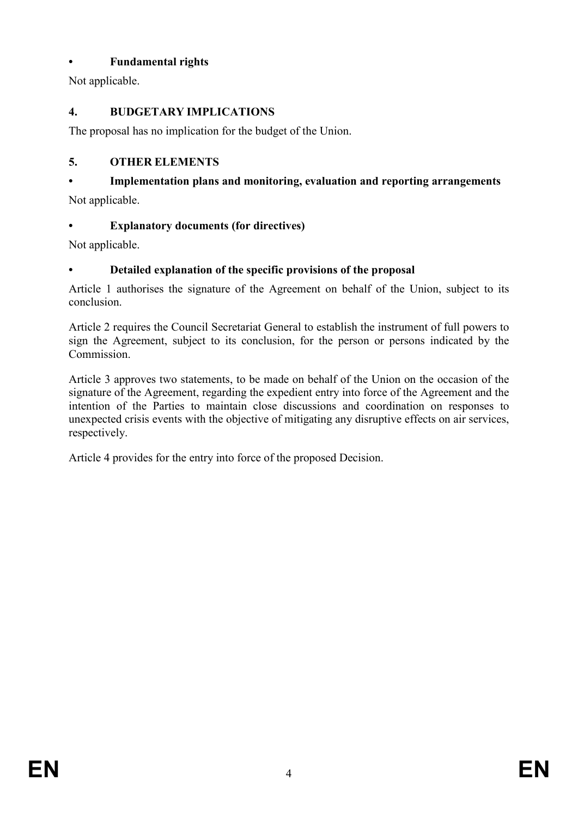# **• Fundamental rights**

Not applicable.

# **4. BUDGETARY IMPLICATIONS**

The proposal has no implication for the budget of the Union.

# **5. OTHER ELEMENTS**

# **• Implementation plans and monitoring, evaluation and reporting arrangements**

Not applicable.

# **• Explanatory documents (for directives)**

Not applicable.

# **• Detailed explanation of the specific provisions of the proposal**

Article 1 authorises the signature of the Agreement on behalf of the Union, subject to its conclusion.

Article 2 requires the Council Secretariat General to establish the instrument of full powers to sign the Agreement, subject to its conclusion, for the person or persons indicated by the Commission.

Article 3 approves two statements, to be made on behalf of the Union on the occasion of the signature of the Agreement, regarding the expedient entry into force of the Agreement and the intention of the Parties to maintain close discussions and coordination on responses to unexpected crisis events with the objective of mitigating any disruptive effects on air services, respectively.

Article 4 provides for the entry into force of the proposed Decision.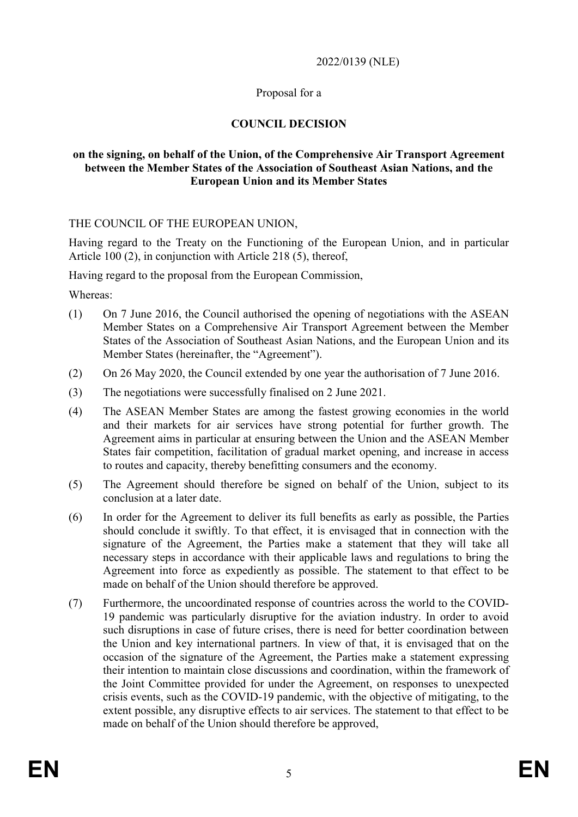#### 2022/0139 (NLE)

### Proposal for a

### **COUNCIL DECISION**

#### **on the signing, on behalf of the Union, of the Comprehensive Air Transport Agreement between the Member States of the Association of Southeast Asian Nations, and the European Union and its Member States**

#### THE COUNCIL OF THE EUROPEAN UNION,

Having regard to the Treaty on the Functioning of the European Union, and in particular Article 100 (2), in conjunction with Article 218 (5), thereof,

Having regard to the proposal from the European Commission,

Whereas:

- (1) On 7 June 2016, the Council authorised the opening of negotiations with the ASEAN Member States on a Comprehensive Air Transport Agreement between the Member States of the Association of Southeast Asian Nations, and the European Union and its Member States (hereinafter, the "Agreement").
- (2) On 26 May 2020, the Council extended by one year the authorisation of 7 June 2016.
- (3) The negotiations were successfully finalised on 2 June 2021.
- (4) The ASEAN Member States are among the fastest growing economies in the world and their markets for air services have strong potential for further growth. The Agreement aims in particular at ensuring between the Union and the ASEAN Member States fair competition, facilitation of gradual market opening, and increase in access to routes and capacity, thereby benefitting consumers and the economy.
- (5) The Agreement should therefore be signed on behalf of the Union, subject to its conclusion at a later date.
- (6) In order for the Agreement to deliver its full benefits as early as possible, the Parties should conclude it swiftly. To that effect, it is envisaged that in connection with the signature of the Agreement, the Parties make a statement that they will take all necessary steps in accordance with their applicable laws and regulations to bring the Agreement into force as expediently as possible. The statement to that effect to be made on behalf of the Union should therefore be approved.
- (7) Furthermore, the uncoordinated response of countries across the world to the COVID-19 pandemic was particularly disruptive for the aviation industry. In order to avoid such disruptions in case of future crises, there is need for better coordination between the Union and key international partners. In view of that, it is envisaged that on the occasion of the signature of the Agreement, the Parties make a statement expressing their intention to maintain close discussions and coordination, within the framework of the Joint Committee provided for under the Agreement, on responses to unexpected crisis events, such as the COVID-19 pandemic, with the objective of mitigating, to the extent possible, any disruptive effects to air services. The statement to that effect to be made on behalf of the Union should therefore be approved,